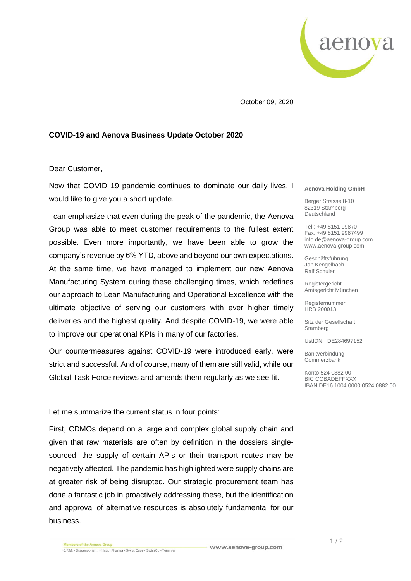

October 09, 2020

## **COVID-19 and Aenova Business Update October 2020**

## Dear Customer,

Now that COVID 19 pandemic continues to dominate our daily lives, I would like to give you a short update.

I can emphasize that even during the peak of the pandemic, the Aenova Group was able to meet customer requirements to the fullest extent possible. Even more importantly, we have been able to grow the company's revenue by 6% YTD, above and beyond our own expectations. At the same time, we have managed to implement our new Aenova Manufacturing System during these challenging times, which redefines our approach to Lean Manufacturing and Operational Excellence with the ultimate objective of serving our customers with ever higher timely deliveries and the highest quality. And despite COVID-19, we were able to improve our operational KPIs in many of our factories.

Our countermeasures against COVID-19 were introduced early, were strict and successful. And of course, many of them are still valid, while our Global Task Force reviews and amends them regularly as we see fit.

Let me summarize the current status in four points:

First, CDMOs depend on a large and complex global supply chain and given that raw materials are often by definition in the dossiers singlesourced, the supply of certain APIs or their transport routes may be negatively affected. The pandemic has highlighted were supply chains are at greater risk of being disrupted. Our strategic procurement team has done a fantastic job in proactively addressing these, but the identification and approval of alternative resources is absolutely fundamental for our business.

## **Aenova Holding GmbH**

Berger Strasse 8-10 82319 Starnberg Deutschland

Tel.: +49 8151 99870 Fax: +49 8151 9987499 info.de@aenova-group.com www.aenova-group.com

Geschäftsführung Jan Kengelbach Ralf Schuler

Registergericht Amtsgericht München

Registernummer HRB 200013

Sitz der Gesellschaft Starnberg

UstIDNr. DE284697152

Bankverbindung **Commerzbank** 

Konto 524 0882 00 BIC COBADEFFXXX IBAN DE16 1004 0000 0524 0882 00